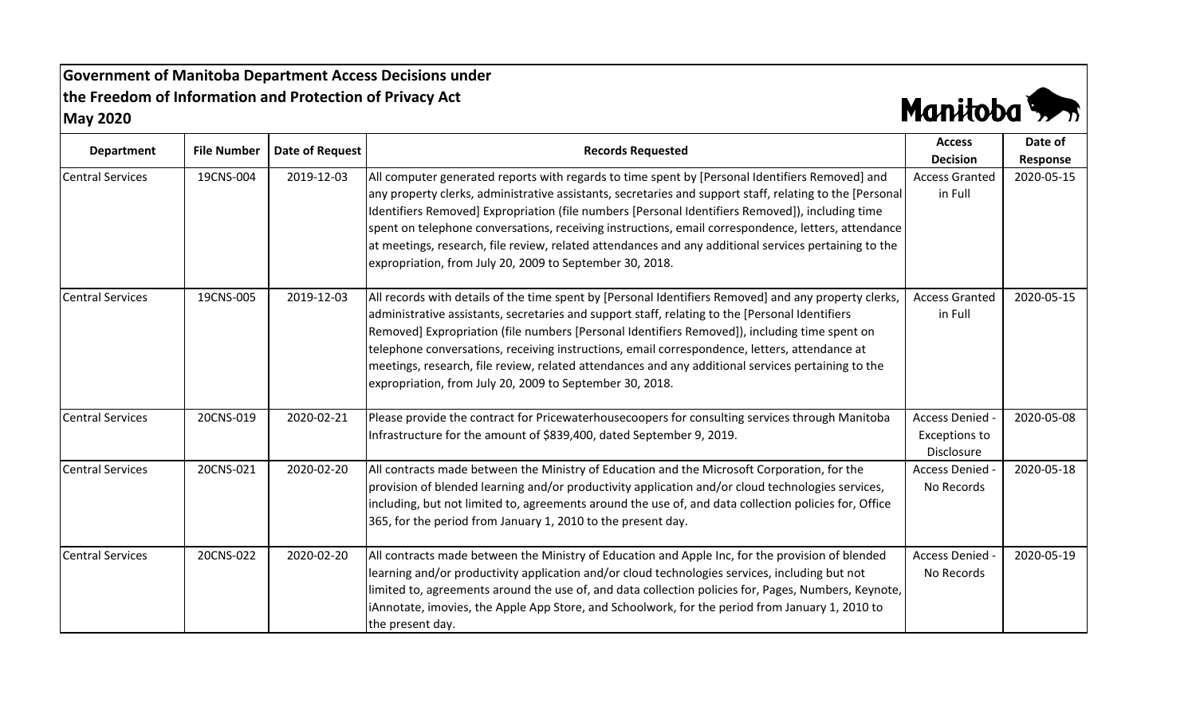**Government of Manitoba Department Access Decisions under the Freedom of Information and Protection of Privacy Act May 2020**



| <b>Department</b>       | <b>File Number</b> | Date of Request | <b>Records Requested</b>                                                                                                                                                                                                                                                                                                                                                                                                                                                                                                                                                                    | <b>Access</b><br><b>Decision</b>                    | Date of                |
|-------------------------|--------------------|-----------------|---------------------------------------------------------------------------------------------------------------------------------------------------------------------------------------------------------------------------------------------------------------------------------------------------------------------------------------------------------------------------------------------------------------------------------------------------------------------------------------------------------------------------------------------------------------------------------------------|-----------------------------------------------------|------------------------|
| <b>Central Services</b> | 19CNS-004          | 2019-12-03      | All computer generated reports with regards to time spent by [Personal Identifiers Removed] and<br>any property clerks, administrative assistants, secretaries and support staff, relating to the [Personal<br>Identifiers Removed] Expropriation (file numbers [Personal Identifiers Removed]), including time<br>spent on telephone conversations, receiving instructions, email correspondence, letters, attendance<br>at meetings, research, file review, related attendances and any additional services pertaining to the<br>expropriation, from July 20, 2009 to September 30, 2018. | <b>Access Granted</b><br>in Full                    | Response<br>2020-05-15 |
| <b>Central Services</b> | 19CNS-005          | 2019-12-03      | All records with details of the time spent by [Personal Identifiers Removed] and any property clerks,<br>administrative assistants, secretaries and support staff, relating to the [Personal Identifiers<br>Removed] Expropriation (file numbers [Personal Identifiers Removed]), including time spent on<br>telephone conversations, receiving instructions, email correspondence, letters, attendance at<br>meetings, research, file review, related attendances and any additional services pertaining to the<br>expropriation, from July 20, 2009 to September 30, 2018.                | <b>Access Granted</b><br>in Full                    | 2020-05-15             |
| <b>Central Services</b> | 20CNS-019          | 2020-02-21      | Please provide the contract for Pricewaterhousecoopers for consulting services through Manitoba<br>Infrastructure for the amount of \$839,400, dated September 9, 2019.                                                                                                                                                                                                                                                                                                                                                                                                                     | <b>Access Denied</b><br>Exceptions to<br>Disclosure | 2020-05-08             |
| <b>Central Services</b> | 20CNS-021          | 2020-02-20      | All contracts made between the Ministry of Education and the Microsoft Corporation, for the<br>provision of blended learning and/or productivity application and/or cloud technologies services,<br>including, but not limited to, agreements around the use of, and data collection policies for, Office<br>365, for the period from January 1, 2010 to the present day.                                                                                                                                                                                                                   | <b>Access Denied</b><br>No Records                  | 2020-05-18             |
| <b>Central Services</b> | 20CNS-022          | 2020-02-20      | All contracts made between the Ministry of Education and Apple Inc, for the provision of blended<br>learning and/or productivity application and/or cloud technologies services, including but not<br>limited to, agreements around the use of, and data collection policies for, Pages, Numbers, Keynote,<br>iAnnotate, imovies, the Apple App Store, and Schoolwork, for the period from January 1, 2010 to<br>the present day.                                                                                                                                                           | <b>Access Denied</b><br>No Records                  | 2020-05-19             |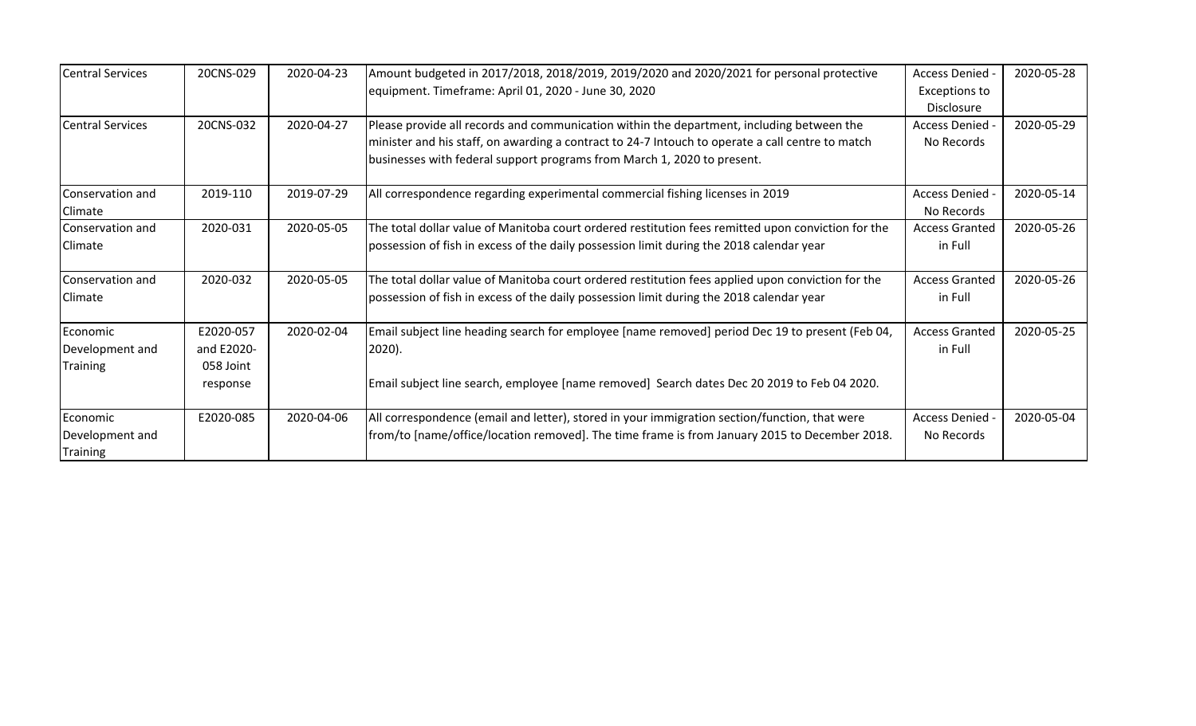| <b>Central Services</b> | 20CNS-029  | 2020-04-23 | Amount budgeted in 2017/2018, 2018/2019, 2019/2020 and 2020/2021 for personal protective           | Access Denied         | 2020-05-28 |
|-------------------------|------------|------------|----------------------------------------------------------------------------------------------------|-----------------------|------------|
|                         |            |            | equipment. Timeframe: April 01, 2020 - June 30, 2020                                               | <b>Exceptions to</b>  |            |
|                         |            |            |                                                                                                    | <b>Disclosure</b>     |            |
| <b>Central Services</b> | 20CNS-032  | 2020-04-27 | Please provide all records and communication within the department, including between the          | Access Denied -       | 2020-05-29 |
|                         |            |            | minister and his staff, on awarding a contract to 24-7 Intouch to operate a call centre to match   | No Records            |            |
|                         |            |            | businesses with federal support programs from March 1, 2020 to present.                            |                       |            |
| Conservation and        | 2019-110   | 2019-07-29 | All correspondence regarding experimental commercial fishing licenses in 2019                      | Access Denied -       | 2020-05-14 |
| Climate                 |            |            |                                                                                                    | No Records            |            |
| Conservation and        | 2020-031   | 2020-05-05 | The total dollar value of Manitoba court ordered restitution fees remitted upon conviction for the | <b>Access Granted</b> | 2020-05-26 |
| <b>Climate</b>          |            |            | possession of fish in excess of the daily possession limit during the 2018 calendar year           | in Full               |            |
| Conservation and        | 2020-032   | 2020-05-05 | The total dollar value of Manitoba court ordered restitution fees applied upon conviction for the  | <b>Access Granted</b> | 2020-05-26 |
| <b>Climate</b>          |            |            | possession of fish in excess of the daily possession limit during the 2018 calendar year           | in Full               |            |
| Economic                | E2020-057  | 2020-02-04 | Email subject line heading search for employee [name removed] period Dec 19 to present (Feb 04,    | <b>Access Granted</b> | 2020-05-25 |
| Development and         | and E2020- |            | $2020$ ).                                                                                          | in Full               |            |
| Training                | 058 Joint  |            |                                                                                                    |                       |            |
|                         | response   |            | Email subject line search, employee [name removed] Search dates Dec 20 2019 to Feb 04 2020.        |                       |            |
| Economic                | E2020-085  | 2020-04-06 | All correspondence (email and letter), stored in your immigration section/function, that were      | Access Denied -       | 2020-05-04 |
| Development and         |            |            | from/to [name/office/location removed]. The time frame is from January 2015 to December 2018.      | No Records            |            |
| Training                |            |            |                                                                                                    |                       |            |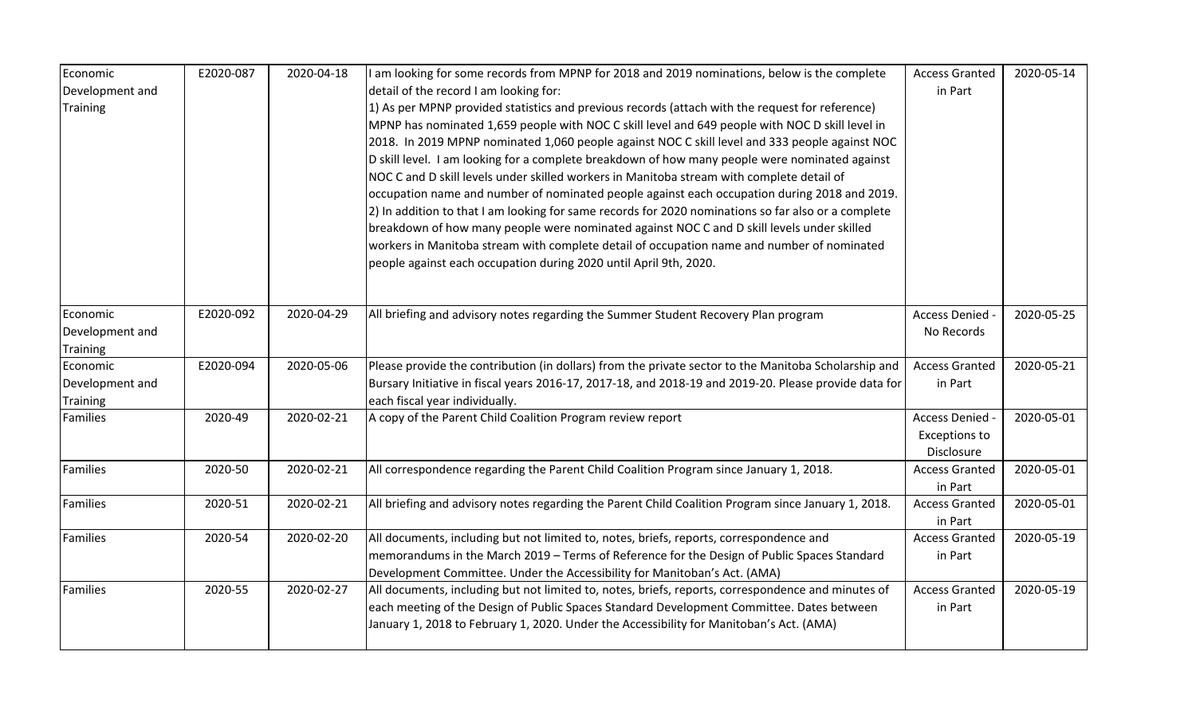| Economic                    | E2020-087 | 2020-04-18 | I am looking for some records from MPNP for 2018 and 2019 nominations, below is the complete          | <b>Access Granted</b> | 2020-05-14 |
|-----------------------------|-----------|------------|-------------------------------------------------------------------------------------------------------|-----------------------|------------|
| Development and             |           |            | detail of the record I am looking for:                                                                | in Part               |            |
| <b>Training</b>             |           |            | 1) As per MPNP provided statistics and previous records (attach with the request for reference)       |                       |            |
|                             |           |            | MPNP has nominated 1,659 people with NOC C skill level and 649 people with NOC D skill level in       |                       |            |
|                             |           |            | 2018. In 2019 MPNP nominated 1,060 people against NOC C skill level and 333 people against NOC        |                       |            |
|                             |           |            | D skill level. I am looking for a complete breakdown of how many people were nominated against        |                       |            |
|                             |           |            | NOC C and D skill levels under skilled workers in Manitoba stream with complete detail of             |                       |            |
|                             |           |            | occupation name and number of nominated people against each occupation during 2018 and 2019.          |                       |            |
|                             |           |            | 2) In addition to that I am looking for same records for 2020 nominations so far also or a complete   |                       |            |
|                             |           |            | breakdown of how many people were nominated against NOC C and D skill levels under skilled            |                       |            |
|                             |           |            | workers in Manitoba stream with complete detail of occupation name and number of nominated            |                       |            |
|                             |           |            | people against each occupation during 2020 until April 9th, 2020.                                     |                       |            |
|                             |           |            |                                                                                                       |                       |            |
| Economic                    | E2020-092 | 2020-04-29 | All briefing and advisory notes regarding the Summer Student Recovery Plan program                    | Access Denied         | 2020-05-25 |
|                             |           |            |                                                                                                       |                       |            |
| Development and<br>Training |           |            |                                                                                                       | No Records            |            |
| Economic                    | E2020-094 | 2020-05-06 | Please provide the contribution (in dollars) from the private sector to the Manitoba Scholarship and  | <b>Access Granted</b> | 2020-05-21 |
| Development and             |           |            | Bursary Initiative in fiscal years 2016-17, 2017-18, and 2018-19 and 2019-20. Please provide data for | in Part               |            |
| <b>Training</b>             |           |            | each fiscal year individually.                                                                        |                       |            |
| Families                    | 2020-49   | 2020-02-21 | A copy of the Parent Child Coalition Program review report                                            | Access Denied -       | 2020-05-01 |
|                             |           |            |                                                                                                       | <b>Exceptions to</b>  |            |
|                             |           |            |                                                                                                       | Disclosure            |            |
| Families                    | 2020-50   | 2020-02-21 | All correspondence regarding the Parent Child Coalition Program since January 1, 2018.                | <b>Access Granted</b> | 2020-05-01 |
|                             |           |            |                                                                                                       | in Part               |            |
| Families                    | 2020-51   | 2020-02-21 | All briefing and advisory notes regarding the Parent Child Coalition Program since January 1, 2018.   | <b>Access Granted</b> | 2020-05-01 |
|                             |           |            |                                                                                                       | in Part               |            |
| <b>Families</b>             | 2020-54   | 2020-02-20 | All documents, including but not limited to, notes, briefs, reports, correspondence and               | <b>Access Granted</b> | 2020-05-19 |
|                             |           |            | memorandums in the March 2019 - Terms of Reference for the Design of Public Spaces Standard           | in Part               |            |
|                             |           |            | Development Committee. Under the Accessibility for Manitoban's Act. (AMA)                             |                       |            |
| <b>Families</b>             | 2020-55   | 2020-02-27 | All documents, including but not limited to, notes, briefs, reports, correspondence and minutes of    | <b>Access Granted</b> | 2020-05-19 |
|                             |           |            | each meeting of the Design of Public Spaces Standard Development Committee. Dates between             | in Part               |            |
|                             |           |            | January 1, 2018 to February 1, 2020. Under the Accessibility for Manitoban's Act. (AMA)               |                       |            |
|                             |           |            |                                                                                                       |                       |            |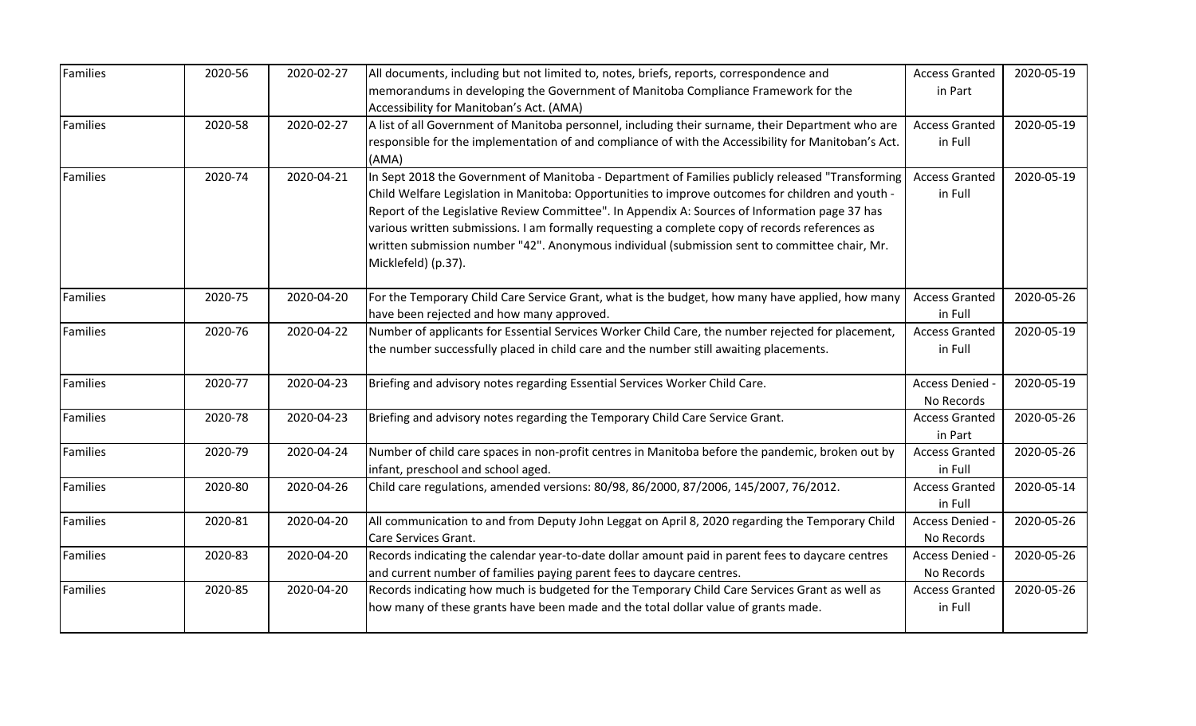| Families | 2020-56 | 2020-02-27 | All documents, including but not limited to, notes, briefs, reports, correspondence and             | <b>Access Granted</b> | 2020-05-19 |
|----------|---------|------------|-----------------------------------------------------------------------------------------------------|-----------------------|------------|
|          |         |            | memorandums in developing the Government of Manitoba Compliance Framework for the                   | in Part               |            |
|          |         |            | Accessibility for Manitoban's Act. (AMA)                                                            |                       |            |
| Families | 2020-58 | 2020-02-27 | A list of all Government of Manitoba personnel, including their surname, their Department who are   | <b>Access Granted</b> | 2020-05-19 |
|          |         |            | responsible for the implementation of and compliance of with the Accessibility for Manitoban's Act. | in Full               |            |
|          |         |            | (AMA)                                                                                               |                       |            |
| Families | 2020-74 | 2020-04-21 | In Sept 2018 the Government of Manitoba - Department of Families publicly released "Transforming    | <b>Access Granted</b> | 2020-05-19 |
|          |         |            | Child Welfare Legislation in Manitoba: Opportunities to improve outcomes for children and youth -   | in Full               |            |
|          |         |            | Report of the Legislative Review Committee". In Appendix A: Sources of Information page 37 has      |                       |            |
|          |         |            | various written submissions. I am formally requesting a complete copy of records references as      |                       |            |
|          |         |            | written submission number "42". Anonymous individual (submission sent to committee chair, Mr.       |                       |            |
|          |         |            | Micklefeld) (p.37).                                                                                 |                       |            |
| Families | 2020-75 | 2020-04-20 | For the Temporary Child Care Service Grant, what is the budget, how many have applied, how many     | <b>Access Granted</b> | 2020-05-26 |
|          |         |            | have been rejected and how many approved.                                                           | in Full               |            |
| Families | 2020-76 | 2020-04-22 | Number of applicants for Essential Services Worker Child Care, the number rejected for placement,   | <b>Access Granted</b> | 2020-05-19 |
|          |         |            | the number successfully placed in child care and the number still awaiting placements.              | in Full               |            |
| Families | 2020-77 | 2020-04-23 | Briefing and advisory notes regarding Essential Services Worker Child Care.                         | Access Denied -       | 2020-05-19 |
|          |         |            |                                                                                                     | No Records            |            |
| Families | 2020-78 | 2020-04-23 | Briefing and advisory notes regarding the Temporary Child Care Service Grant.                       | <b>Access Granted</b> | 2020-05-26 |
|          |         |            |                                                                                                     | in Part               |            |
| Families | 2020-79 | 2020-04-24 | Number of child care spaces in non-profit centres in Manitoba before the pandemic, broken out by    | <b>Access Granted</b> | 2020-05-26 |
|          |         |            | infant, preschool and school aged.                                                                  | in Full               |            |
| Families | 2020-80 | 2020-04-26 | Child care regulations, amended versions: 80/98, 86/2000, 87/2006, 145/2007, 76/2012.               | <b>Access Granted</b> | 2020-05-14 |
|          |         |            |                                                                                                     | in Full               |            |
| Families | 2020-81 | 2020-04-20 | All communication to and from Deputy John Leggat on April 8, 2020 regarding the Temporary Child     | Access Denied -       | 2020-05-26 |
|          |         |            | Care Services Grant.                                                                                | No Records            |            |
| Families | 2020-83 | 2020-04-20 | Records indicating the calendar year-to-date dollar amount paid in parent fees to daycare centres   | Access Denied         | 2020-05-26 |
|          |         |            | and current number of families paying parent fees to daycare centres.                               | No Records            |            |
| Families | 2020-85 | 2020-04-20 | Records indicating how much is budgeted for the Temporary Child Care Services Grant as well as      | <b>Access Granted</b> | 2020-05-26 |
|          |         |            | how many of these grants have been made and the total dollar value of grants made.                  | in Full               |            |
|          |         |            |                                                                                                     |                       |            |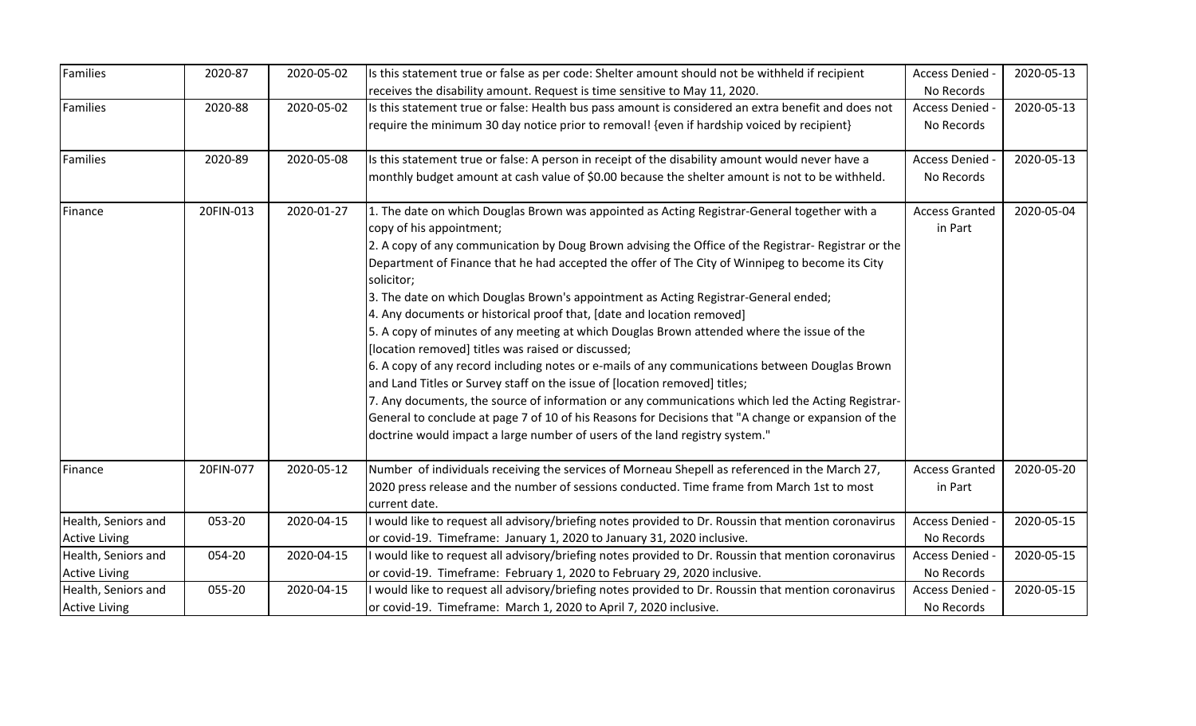| Families             | 2020-87   | 2020-05-02 | Is this statement true or false as per code: Shelter amount should not be withheld if recipient      | Access Denied -       | 2020-05-13 |
|----------------------|-----------|------------|------------------------------------------------------------------------------------------------------|-----------------------|------------|
|                      |           |            | receives the disability amount. Request is time sensitive to May 11, 2020.                           | No Records            |            |
| Families             | 2020-88   | 2020-05-02 | Is this statement true or false: Health bus pass amount is considered an extra benefit and does not  | <b>Access Denied</b>  | 2020-05-13 |
|                      |           |            | require the minimum 30 day notice prior to removal! {even if hardship voiced by recipient}           | No Records            |            |
|                      |           |            |                                                                                                      |                       |            |
| Families             | 2020-89   | 2020-05-08 | Is this statement true or false: A person in receipt of the disability amount would never have a     | <b>Access Denied</b>  | 2020-05-13 |
|                      |           |            | monthly budget amount at cash value of \$0.00 because the shelter amount is not to be withheld.      | No Records            |            |
| Finance              | 20FIN-013 | 2020-01-27 | 1. The date on which Douglas Brown was appointed as Acting Registrar-General together with a         | <b>Access Granted</b> | 2020-05-04 |
|                      |           |            | copy of his appointment;                                                                             | in Part               |            |
|                      |           |            | 2. A copy of any communication by Doug Brown advising the Office of the Registrar- Registrar or the  |                       |            |
|                      |           |            | Department of Finance that he had accepted the offer of The City of Winnipeg to become its City      |                       |            |
|                      |           |            | solicitor;                                                                                           |                       |            |
|                      |           |            | 3. The date on which Douglas Brown's appointment as Acting Registrar-General ended;                  |                       |            |
|                      |           |            | 4. Any documents or historical proof that, [date and location removed]                               |                       |            |
|                      |           |            | 5. A copy of minutes of any meeting at which Douglas Brown attended where the issue of the           |                       |            |
|                      |           |            | [location removed] titles was raised or discussed;                                                   |                       |            |
|                      |           |            | 6. A copy of any record including notes or e-mails of any communications between Douglas Brown       |                       |            |
|                      |           |            | and Land Titles or Survey staff on the issue of [location removed] titles;                           |                       |            |
|                      |           |            | 7. Any documents, the source of information or any communications which led the Acting Registrar-    |                       |            |
|                      |           |            | General to conclude at page 7 of 10 of his Reasons for Decisions that "A change or expansion of the  |                       |            |
|                      |           |            | doctrine would impact a large number of users of the land registry system."                          |                       |            |
| Finance              | 20FIN-077 | 2020-05-12 | Number of individuals receiving the services of Morneau Shepell as referenced in the March 27,       | <b>Access Granted</b> | 2020-05-20 |
|                      |           |            | 2020 press release and the number of sessions conducted. Time frame from March 1st to most           | in Part               |            |
|                      |           |            | current date.                                                                                        |                       |            |
| Health, Seniors and  | 053-20    | 2020-04-15 | would like to request all advisory/briefing notes provided to Dr. Roussin that mention coronavirus   | Access Denied -       | 2020-05-15 |
| <b>Active Living</b> |           |            | or covid-19. Timeframe: January 1, 2020 to January 31, 2020 inclusive.                               | No Records            |            |
| Health, Seniors and  | 054-20    | 2020-04-15 | I would like to request all advisory/briefing notes provided to Dr. Roussin that mention coronavirus | <b>Access Denied</b>  | 2020-05-15 |
| <b>Active Living</b> |           |            | or covid-19. Timeframe: February 1, 2020 to February 29, 2020 inclusive.                             | No Records            |            |
| Health, Seniors and  | 055-20    | 2020-04-15 | I would like to request all advisory/briefing notes provided to Dr. Roussin that mention coronavirus | <b>Access Denied</b>  | 2020-05-15 |
| <b>Active Living</b> |           |            | or covid-19. Timeframe: March 1, 2020 to April 7, 2020 inclusive.                                    | No Records            |            |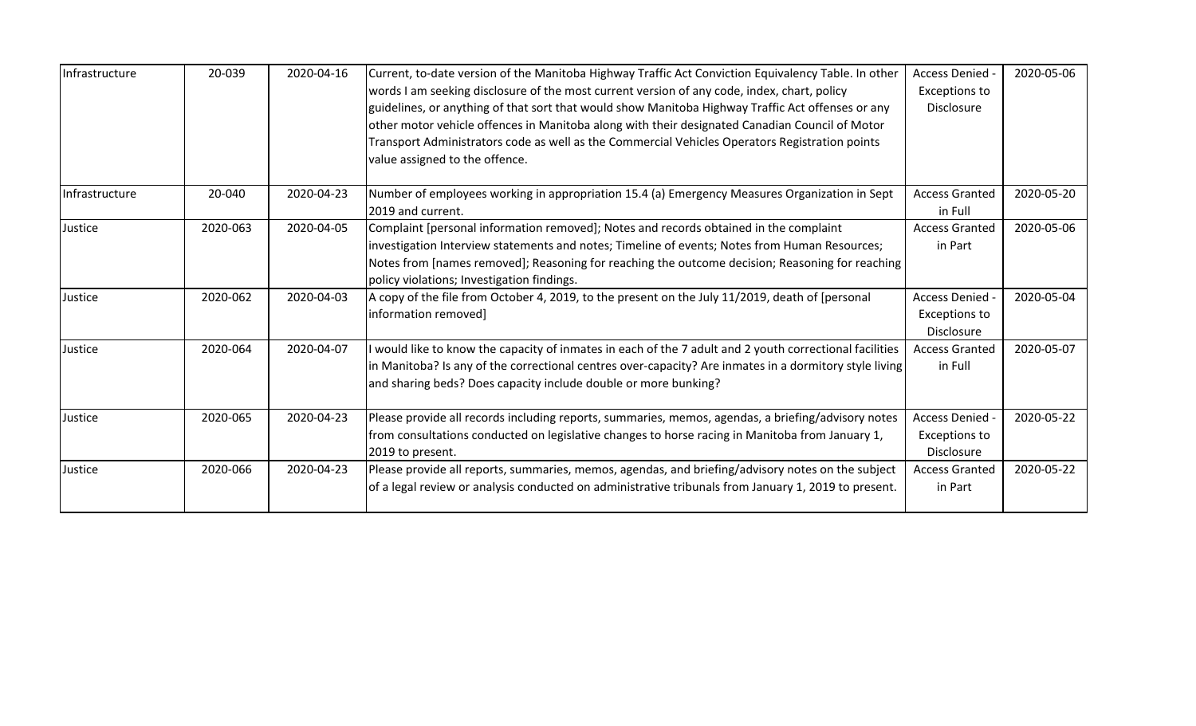| Infrastructure | 20-039   | 2020-04-16 | Current, to-date version of the Manitoba Highway Traffic Act Conviction Equivalency Table. In other<br>words I am seeking disclosure of the most current version of any code, index, chart, policy<br>guidelines, or anything of that sort that would show Manitoba Highway Traffic Act offenses or any<br>other motor vehicle offences in Manitoba along with their designated Canadian Council of Motor<br>Transport Administrators code as well as the Commercial Vehicles Operators Registration points<br>value assigned to the offence. | Access Denied -<br><b>Exceptions to</b><br>Disclosure | 2020-05-06 |
|----------------|----------|------------|-----------------------------------------------------------------------------------------------------------------------------------------------------------------------------------------------------------------------------------------------------------------------------------------------------------------------------------------------------------------------------------------------------------------------------------------------------------------------------------------------------------------------------------------------|-------------------------------------------------------|------------|
| Infrastructure | 20-040   | 2020-04-23 | Number of employees working in appropriation 15.4 (a) Emergency Measures Organization in Sept<br>2019 and current.                                                                                                                                                                                                                                                                                                                                                                                                                            | <b>Access Granted</b><br>in Full                      | 2020-05-20 |
| Justice        | 2020-063 | 2020-04-05 | Complaint [personal information removed]; Notes and records obtained in the complaint<br>investigation Interview statements and notes; Timeline of events; Notes from Human Resources;<br>Notes from [names removed]; Reasoning for reaching the outcome decision; Reasoning for reaching<br>policy violations; Investigation findings.                                                                                                                                                                                                       | <b>Access Granted</b><br>in Part                      | 2020-05-06 |
| Justice        | 2020-062 | 2020-04-03 | A copy of the file from October 4, 2019, to the present on the July 11/2019, death of [personal<br>information removed]                                                                                                                                                                                                                                                                                                                                                                                                                       | Access Denied<br><b>Exceptions to</b><br>Disclosure   | 2020-05-04 |
| Justice        | 2020-064 | 2020-04-07 | I would like to know the capacity of inmates in each of the 7 adult and 2 youth correctional facilities<br>in Manitoba? Is any of the correctional centres over-capacity? Are inmates in a dormitory style living<br>and sharing beds? Does capacity include double or more bunking?                                                                                                                                                                                                                                                          | <b>Access Granted</b><br>in Full                      | 2020-05-07 |
| Justice        | 2020-065 | 2020-04-23 | Please provide all records including reports, summaries, memos, agendas, a briefing/advisory notes<br>from consultations conducted on legislative changes to horse racing in Manitoba from January 1,<br>2019 to present.                                                                                                                                                                                                                                                                                                                     | Access Denied -<br><b>Exceptions to</b><br>Disclosure | 2020-05-22 |
| Justice        | 2020-066 | 2020-04-23 | Please provide all reports, summaries, memos, agendas, and briefing/advisory notes on the subject<br>of a legal review or analysis conducted on administrative tribunals from January 1, 2019 to present.                                                                                                                                                                                                                                                                                                                                     | <b>Access Granted</b><br>in Part                      | 2020-05-22 |